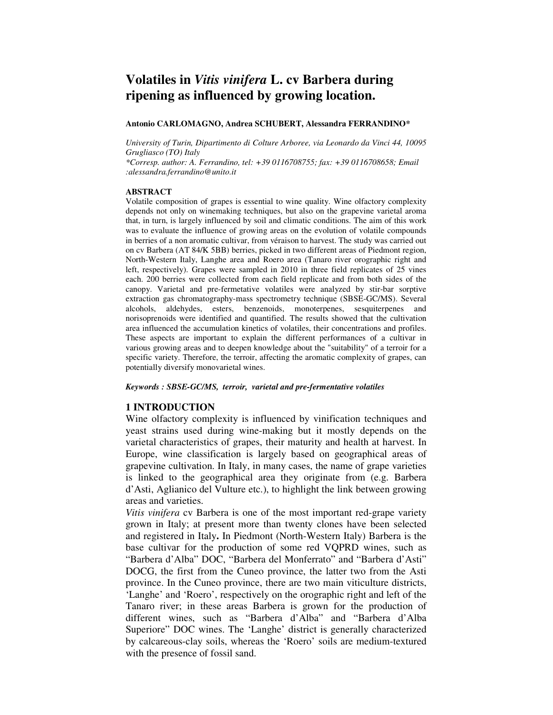# **Volatiles in** *Vitis vinifera* **L. cv Barbera during ripening as influenced by growing location.**

## **Antonio CARLOMAGNO, Andrea SCHUBERT, Alessandra FERRANDINO\***

*University of Turin, Dipartimento di Colture Arboree, via Leonardo da Vinci 44, 10095 Grugliasco (TO) Italy* 

*\*Corresp. author: A. Ferrandino, tel: +39 0116708755; fax: +39 0116708658; Email :alessandra.ferrandino@unito.it* 

### **ABSTRACT**

Volatile composition of grapes is essential to wine quality. Wine olfactory complexity depends not only on winemaking techniques, but also on the grapevine varietal aroma that, in turn, is largely influenced by soil and climatic conditions. The aim of this work was to evaluate the influence of growing areas on the evolution of volatile compounds in berries of a non aromatic cultivar, from véraison to harvest. The study was carried out on cv Barbera (AT 84/K 5BB) berries, picked in two different areas of Piedmont region, North-Western Italy, Langhe area and Roero area (Tanaro river orographic right and left, respectively). Grapes were sampled in 2010 in three field replicates of 25 vines each. 200 berries were collected from each field replicate and from both sides of the canopy. Varietal and pre-fermetative volatiles were analyzed by stir-bar sorptive extraction gas chromatography-mass spectrometry technique (SBSE-GC/MS). Several alcohols, aldehydes, esters, benzenoids, monoterpenes, sesquiterpenes and norisoprenoids were identified and quantified. The results showed that the cultivation area influenced the accumulation kinetics of volatiles, their concentrations and profiles. These aspects are important to explain the different performances of a cultivar in various growing areas and to deepen knowledge about the "suitability" of a terroir for a specific variety. Therefore, the terroir, affecting the aromatic complexity of grapes, can potentially diversify monovarietal wines.

### *Keywords : SBSE-GC/MS, terroir, varietal and pre-fermentative volatiles*

## **1 INTRODUCTION**

Wine olfactory complexity is influenced by vinification techniques and yeast strains used during wine-making but it mostly depends on the varietal characteristics of grapes, their maturity and health at harvest. In Europe, wine classification is largely based on geographical areas of grapevine cultivation. In Italy, in many cases, the name of grape varieties is linked to the geographical area they originate from (e.g. Barbera d'Asti, Aglianico del Vulture etc.), to highlight the link between growing areas and varieties.

*Vitis vinifera* cv Barbera is one of the most important red-grape variety grown in Italy; at present more than twenty clones have been selected and registered in Italy**.** In Piedmont (North-Western Italy) Barbera is the base cultivar for the production of some red VQPRD wines, such as "Barbera d'Alba" DOC, "Barbera del Monferrato" and "Barbera d'Asti" DOCG, the first from the Cuneo province, the latter two from the Asti province. In the Cuneo province, there are two main viticulture districts, 'Langhe' and 'Roero', respectively on the orographic right and left of the Tanaro river; in these areas Barbera is grown for the production of different wines, such as "Barbera d'Alba" and "Barbera d'Alba Superiore" DOC wines. The 'Langhe' district is generally characterized by calcareous-clay soils, whereas the 'Roero' soils are medium-textured with the presence of fossil sand.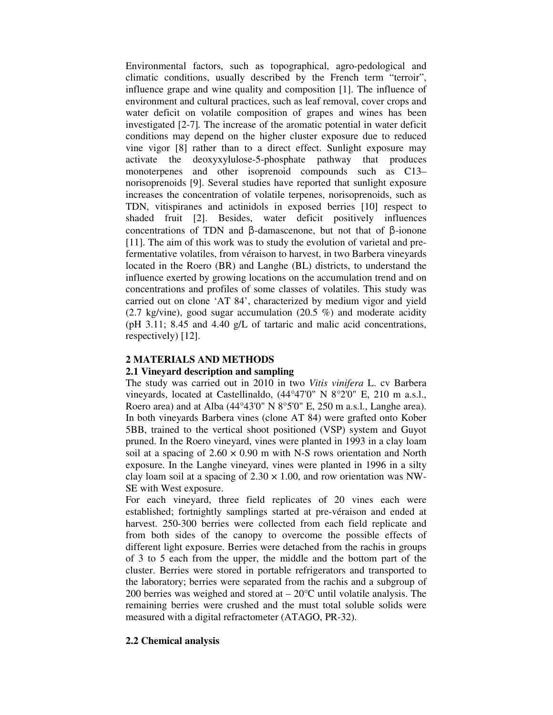Environmental factors, such as topographical, agro-pedological and climatic conditions, usually described by the French term "terroir", influence grape and wine quality and composition [1]. The influence of environment and cultural practices, such as leaf removal, cover crops and water deficit on volatile composition of grapes and wines has been investigated [2-7]*.* The increase of the aromatic potential in water deficit conditions may depend on the higher cluster exposure due to reduced vine vigor [8] rather than to a direct effect. Sunlight exposure may activate the deoxyxylulose-5-phosphate pathway that produces monoterpenes and other isoprenoid compounds such as C13– norisoprenoids [9]. Several studies have reported that sunlight exposure increases the concentration of volatile terpenes, norisoprenoids, such as TDN, vitispiranes and actinidols in exposed berries [10] respect to shaded fruit [2]. Besides, water deficit positively influences concentrations of TDN and β-damascenone, but not that of β-ionone [11]. The aim of this work was to study the evolution of varietal and prefermentative volatiles, from véraison to harvest, in two Barbera vineyards located in the Roero (BR) and Langhe (BL) districts, to understand the influence exerted by growing locations on the accumulation trend and on concentrations and profiles of some classes of volatiles. This study was carried out on clone 'AT 84', characterized by medium vigor and yield  $(2.7 \text{ kg/vine})$ , good sugar accumulation  $(20.5 \%)$  and moderate acidity (pH 3.11; 8.45 and 4.40 g/L of tartaric and malic acid concentrations, respectively) [12].

# **2 MATERIALS AND METHODS**

# **2.1 Vineyard description and sampling**

The study was carried out in 2010 in two *Vitis vinifera* L. cv Barbera vineyards, located at Castellinaldo, (44°47'0" N 8°2'0" E, 210 m a.s.l., Roero area) and at Alba (44°43'0" N 8°5'0" E, 250 m a.s.l., Langhe area). In both vineyards Barbera vines (clone AT 84) were grafted onto Kober 5BB, trained to the vertical shoot positioned (VSP) system and Guyot pruned. In the Roero vineyard, vines were planted in 1993 in a clay loam soil at a spacing of  $2.60 \times 0.90$  m with N-S rows orientation and North exposure. In the Langhe vineyard, vines were planted in 1996 in a silty clay loam soil at a spacing of  $2.30 \times 1.00$ , and row orientation was NW-SE with West exposure.

For each vineyard, three field replicates of 20 vines each were established; fortnightly samplings started at pre-véraison and ended at harvest. 250-300 berries were collected from each field replicate and from both sides of the canopy to overcome the possible effects of different light exposure. Berries were detached from the rachis in groups of 3 to 5 each from the upper, the middle and the bottom part of the cluster. Berries were stored in portable refrigerators and transported to the laboratory; berries were separated from the rachis and a subgroup of 200 berries was weighed and stored at  $-20^{\circ}$ C until volatile analysis. The remaining berries were crushed and the must total soluble solids were measured with a digital refractometer (ATAGO, PR-32).

# **2.2 Chemical analysis**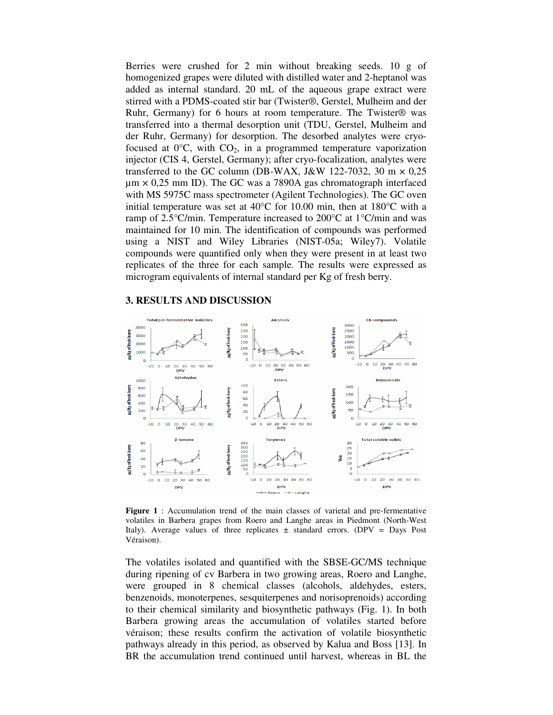Berries were crushed for 2 min without breaking seeds. 10 g of homogenized grapes were diluted with distilled water and 2-heptanol was added as internal standard. 20 mL of the aqueous grape extract were stirred with a PDMS-coated stir bar (Twister®, Gerstel, Mulheim and der Ruhr, Germany) for 6 hours at room temperature. The Twister® was transferred into a thermal desorption unit (TDU, Gerstel, Mulheim and der Ruhr, Germany) for desorption. The desorbed analytes were cryofocused at  $0^{\circ}$ C, with  $CO<sub>2</sub>$ , in a programmed temperature vaporization injector (CIS 4, Gerstel, Germany); after cryo-focalization, analytes were transferred to the GC column (DB-WAX, J&W 122-7032, 30 m  $\times$  0,25  $\mu$ m  $\times$  0,25 mm ID). The GC was a 7890A gas chromatograph interfaced with MS 5975C mass spectrometer (Agilent Technologies). The GC oven initial temperature was set at 40°C for 10.00 min, then at 180°C with a ramp of 2.5°C/min. Temperature increased to 200°C at 1°C/min and was maintained for 10 min. The identification of compounds was performed using a NIST and Wiley Libraries (NIST-05a; Wiley7). Volatile compounds were quantified only when they were present in at least two replicates of the three for each sample. The results were expressed as microgram equivalents of internal standard per Kg of fresh berry.

### **3. RESULTS AND DISCUSSION**



**Figure 1** : Accumulation trend of the main classes of varietal and pre-fermentative volatiles in Barbera grapes from Roero and Langhe areas in Piedmont (North-West Italy). Average values of three replicates  $\pm$  standard errors. (DPV = Days Post Véraison).

The volatiles isolated and quantified with the SBSE-GC/MS technique during ripening of cv Barbera in two growing areas, Roero and Langhe, were grouped in 8 chemical classes (alcohols, aldehydes, esters, benzenoids, monoterpenes, sesquiterpenes and norisoprenoids) according to their chemical similarity and biosynthetic pathways (Fig. 1). In both Barbera growing areas the accumulation of volatiles started before véraison; these results confirm the activation of volatile biosynthetic pathways already in this period, as observed by Kalua and Boss [13]. In BR the accumulation trend continued until harvest, whereas in BL the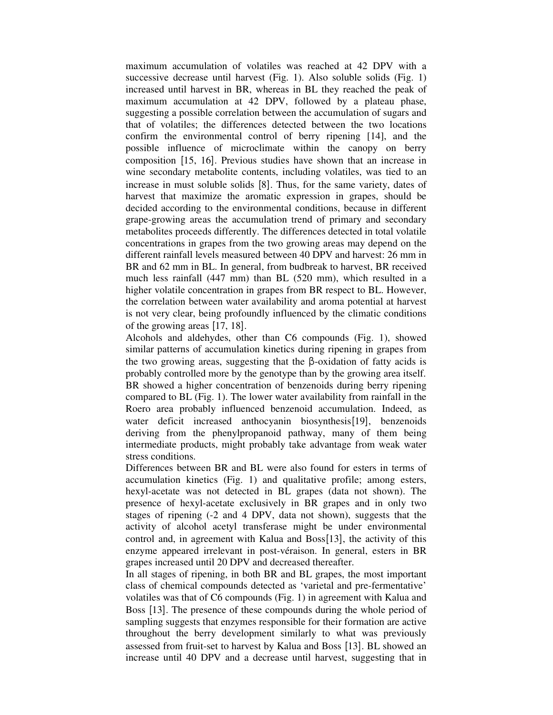maximum accumulation of volatiles was reached at 42 DPV with a successive decrease until harvest (Fig. 1). Also soluble solids (Fig. 1) increased until harvest in BR, whereas in BL they reached the peak of maximum accumulation at 42 DPV, followed by a plateau phase, suggesting a possible correlation between the accumulation of sugars and that of volatiles; the differences detected between the two locations confirm the environmental control of berry ripening [14], and the possible influence of microclimate within the canopy on berry composition [15, 16]. Previous studies have shown that an increase in wine secondary metabolite contents, including volatiles, was tied to an increase in must soluble solids [8]. Thus, for the same variety, dates of harvest that maximize the aromatic expression in grapes, should be decided according to the environmental conditions, because in different grape-growing areas the accumulation trend of primary and secondary metabolites proceeds differently. The differences detected in total volatile concentrations in grapes from the two growing areas may depend on the different rainfall levels measured between 40 DPV and harvest: 26 mm in BR and 62 mm in BL. In general, from budbreak to harvest, BR received much less rainfall (447 mm) than BL (520 mm), which resulted in a higher volatile concentration in grapes from BR respect to BL. However, the correlation between water availability and aroma potential at harvest is not very clear, being profoundly influenced by the climatic conditions of the growing areas [17, 18].

Alcohols and aldehydes, other than C6 compounds (Fig. 1), showed similar patterns of accumulation kinetics during ripening in grapes from the two growing areas, suggesting that the  $\beta$ -oxidation of fatty acids is probably controlled more by the genotype than by the growing area itself. BR showed a higher concentration of benzenoids during berry ripening compared to BL (Fig. 1). The lower water availability from rainfall in the Roero area probably influenced benzenoid accumulation. Indeed, as water deficit increased anthocyanin biosynthesis[19], benzenoids deriving from the phenylpropanoid pathway, many of them being intermediate products, might probably take advantage from weak water stress conditions.

Differences between BR and BL were also found for esters in terms of accumulation kinetics (Fig. 1) and qualitative profile; among esters, hexyl-acetate was not detected in BL grapes (data not shown). The presence of hexyl-acetate exclusively in BR grapes and in only two stages of ripening (-2 and 4 DPV, data not shown), suggests that the activity of alcohol acetyl transferase might be under environmental control and, in agreement with Kalua and Boss[13], the activity of this enzyme appeared irrelevant in post-véraison. In general, esters in BR grapes increased until 20 DPV and decreased thereafter.

In all stages of ripening, in both BR and BL grapes, the most important class of chemical compounds detected as 'varietal and pre-fermentative' volatiles was that of C6 compounds (Fig. 1) in agreement with Kalua and Boss [13]. The presence of these compounds during the whole period of sampling suggests that enzymes responsible for their formation are active throughout the berry development similarly to what was previously assessed from fruit-set to harvest by Kalua and Boss [13]. BL showed an increase until 40 DPV and a decrease until harvest, suggesting that in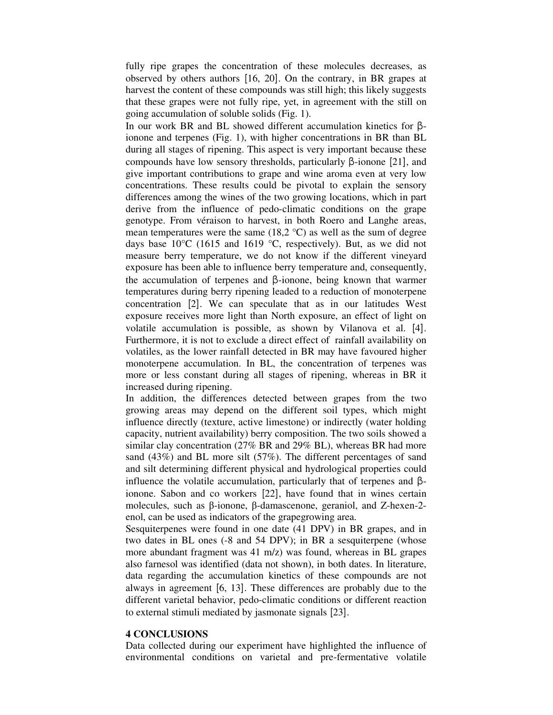fully ripe grapes the concentration of these molecules decreases, as observed by others authors [16, 20]. On the contrary, in BR grapes at harvest the content of these compounds was still high; this likely suggests that these grapes were not fully ripe, yet, in agreement with the still on going accumulation of soluble solids (Fig. 1).

In our work BR and BL showed different accumulation kinetics for βionone and terpenes (Fig. 1), with higher concentrations in BR than BL during all stages of ripening. This aspect is very important because these compounds have low sensory thresholds, particularly β-ionone [21], and give important contributions to grape and wine aroma even at very low concentrations. These results could be pivotal to explain the sensory differences among the wines of the two growing locations, which in part derive from the influence of pedo-climatic conditions on the grape genotype. From véraison to harvest, in both Roero and Langhe areas, mean temperatures were the same  $(18,2 \degree C)$  as well as the sum of degree days base  $10^{\circ}$ C (1615 and 1619 °C, respectively). But, as we did not measure berry temperature, we do not know if the different vineyard exposure has been able to influence berry temperature and, consequently, the accumulation of terpenes and β-ionone, being known that warmer temperatures during berry ripening leaded to a reduction of monoterpene concentration [2]. We can speculate that as in our latitudes West exposure receives more light than North exposure, an effect of light on volatile accumulation is possible, as shown by Vilanova et al. [4]. Furthermore, it is not to exclude a direct effect of rainfall availability on volatiles, as the lower rainfall detected in BR may have favoured higher monoterpene accumulation. In BL, the concentration of terpenes was more or less constant during all stages of ripening, whereas in BR it increased during ripening.

In addition, the differences detected between grapes from the two growing areas may depend on the different soil types, which might influence directly (texture, active limestone) or indirectly (water holding capacity, nutrient availability) berry composition. The two soils showed a similar clay concentration (27% BR and 29% BL), whereas BR had more sand (43%) and BL more silt (57%). The different percentages of sand and silt determining different physical and hydrological properties could influence the volatile accumulation, particularly that of terpenes and βionone. Sabon and co workers [22], have found that in wines certain molecules, such as β-ionone, β-damascenone, geraniol, and Z-hexen-2 enol, can be used as indicators of the grapegrowing area.

Sesquiterpenes were found in one date (41 DPV) in BR grapes, and in two dates in BL ones (-8 and 54 DPV); in BR a sesquiterpene (whose more abundant fragment was 41 m/z) was found, whereas in BL grapes also farnesol was identified (data not shown), in both dates. In literature, data regarding the accumulation kinetics of these compounds are not always in agreement [6, 13]. These differences are probably due to the different varietal behavior, pedo-climatic conditions or different reaction to external stimuli mediated by jasmonate signals [23].

## **4 CONCLUSIONS**

Data collected during our experiment have highlighted the influence of environmental conditions on varietal and pre-fermentative volatile